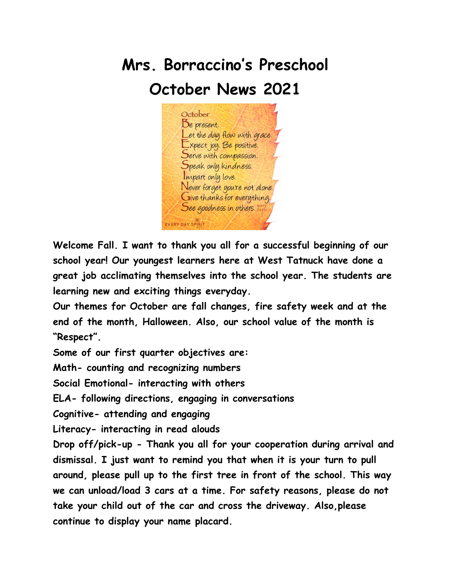

Serve with compassion. Speak only kindness. Impart only love.

Never forget you're not alone. Give thanks for everything. See goodness in others. davis

**Welcome Fall. I want to thank you all for a successful beginning of our school year! Our youngest learners here at West Tatnuck have done a great job acclimating themselves into the school year. The students are learning new and exciting things everyday.**

**Our themes for October are fall changes, fire safety week and at the end of the month, Halloween. Also, our school value of the month is "Respect".**

**Some of our first quarter objectives are:**

**Math- counting and recognizing numbers**

**Social Emotional- interacting with others**

**ELA- following directions, engaging in conversations**

EVERY DAY SPIRIT

**Cognitive- attending and engaging**

**Literacy- interacting in read alouds**

**Drop off/pick-up - Thank you all for your cooperation during arrival and dismissal. I just want to remind you that when it is your turn to pull around, please pull up to the first tree in front of the school. This way we can unload/load 3 cars at a time. For safety reasons, please do not take your child out of the car and cross the driveway. Also,please continue to display your name placard.**